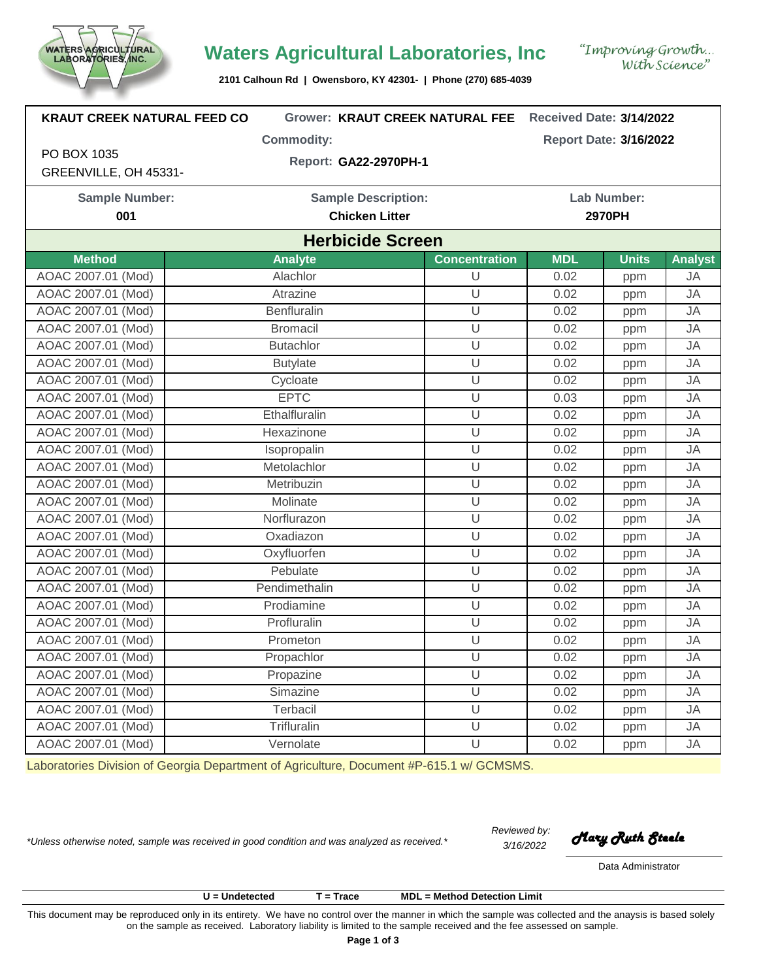

## **Waters Agricultural Laboratories, Inc**

**2101 Calhoun Rd | Owensboro, KY 42301- | Phone (270) 685-4039**

| <b>KRAUT CREEK NATURAL FEED CO</b> |                   | <b>Grower: KRAUT CREEK NATURAL FEE</b> |            | Received Date: 3/14/2022       |  |  |  |  |  |
|------------------------------------|-------------------|----------------------------------------|------------|--------------------------------|--|--|--|--|--|
|                                    | <b>Commodity:</b> |                                        |            | <b>Report Date: 3/16/2022</b>  |  |  |  |  |  |
| PO BOX 1035                        |                   | Report: GA22-2970PH-1                  |            |                                |  |  |  |  |  |
| GREENVILLE, OH 45331-              |                   |                                        |            |                                |  |  |  |  |  |
| <b>Sample Number:</b>              |                   | <b>Sample Description:</b>             |            | <b>Lab Number:</b>             |  |  |  |  |  |
| 001                                |                   | <b>Chicken Litter</b>                  |            | 2970PH                         |  |  |  |  |  |
| <b>Herbicide Screen</b>            |                   |                                        |            |                                |  |  |  |  |  |
| <b>Method</b>                      | <b>Analyte</b>    | <b>Concentration</b>                   | <b>MDL</b> | <b>Units</b><br><b>Analyst</b> |  |  |  |  |  |
| AOAC 2007.01 (Mod)                 | Alachlor          | U                                      | 0.02       | <b>JA</b><br>ppm               |  |  |  |  |  |
| AOAC 2007.01 (Mod)                 | Atrazine          | $\cup$                                 | 0.02       | <b>JA</b><br>ppm               |  |  |  |  |  |
| AOAC 2007.01 (Mod)                 | Benfluralin       | U                                      | 0.02       | <b>JA</b><br>ppm               |  |  |  |  |  |
| AOAC 2007.01 (Mod)                 | <b>Bromacil</b>   | U                                      | 0.02       | <b>JA</b><br>ppm               |  |  |  |  |  |
| AOAC 2007.01 (Mod)                 | <b>Butachlor</b>  | U                                      | 0.02       | <b>JA</b><br>ppm               |  |  |  |  |  |
| AOAC 2007.01 (Mod)                 | <b>Butylate</b>   | $\cup$                                 | 0.02       | <b>JA</b><br>ppm               |  |  |  |  |  |
| AOAC 2007.01 (Mod)                 | Cycloate          | U                                      | 0.02       | <b>JA</b><br>ppm               |  |  |  |  |  |
| AOAC 2007.01 (Mod)                 | <b>EPTC</b>       | $\cup$                                 | 0.03       | JA<br>ppm                      |  |  |  |  |  |
| AOAC 2007.01 (Mod)                 | Ethalfluralin     | U                                      | 0.02       | <b>JA</b><br>ppm               |  |  |  |  |  |
| AOAC 2007.01 (Mod)                 | Hexazinone        | U                                      | 0.02       | <b>JA</b><br>ppm               |  |  |  |  |  |
| AOAC 2007.01 (Mod)                 | Isopropalin       | U                                      | 0.02       | <b>JA</b><br>ppm               |  |  |  |  |  |
| AOAC 2007.01 (Mod)                 | Metolachlor       | U                                      | 0.02       | <b>JA</b><br>ppm               |  |  |  |  |  |
| AOAC 2007.01 (Mod)                 | Metribuzin        | U                                      | 0.02       | <b>JA</b><br>ppm               |  |  |  |  |  |
| AOAC 2007.01 (Mod)                 | Molinate          | U                                      | 0.02       | <b>JA</b><br>ppm               |  |  |  |  |  |
| AOAC 2007.01 (Mod)                 | Norflurazon       | U                                      | 0.02       | <b>JA</b><br>ppm               |  |  |  |  |  |
| AOAC 2007.01 (Mod)                 | Oxadiazon         | $\overline{U}$                         | 0.02       | <b>JA</b><br>ppm               |  |  |  |  |  |
| AOAC 2007.01 (Mod)                 | Oxyfluorfen       | $\cup$                                 | 0.02       | <b>JA</b><br>ppm               |  |  |  |  |  |
| AOAC 2007.01 (Mod)                 | Pebulate          | $\overline{U}$                         | 0.02       | <b>JA</b><br>ppm               |  |  |  |  |  |
| AOAC 2007.01 (Mod)                 | Pendimethalin     | U                                      | 0.02       | <b>JA</b><br>ppm               |  |  |  |  |  |
| AOAC 2007.01 (Mod)                 | Prodiamine        | U                                      | 0.02       | <b>JA</b><br>ppm               |  |  |  |  |  |
| AOAC 2007.01 (Mod)                 | Profluralin       | U                                      | 0.02       | <b>JA</b><br>ppm               |  |  |  |  |  |
| AOAC 2007.01 (Mod)                 | Prometon          | U                                      | 0.02       | <b>JA</b><br>ppm               |  |  |  |  |  |
| AOAC 2007.01 (Mod)                 | Propachlor        | $\cup$                                 | 0.02       | JA<br>ppm                      |  |  |  |  |  |
| AOAC 2007.01 (Mod)                 | Propazine         | U                                      | 0.02       | JA<br>ppm                      |  |  |  |  |  |
| AOAC 2007.01 (Mod)                 | Simazine          | U                                      | 0.02       | JA<br>ppm                      |  |  |  |  |  |
| AOAC 2007.01 (Mod)                 | Terbacil          | U                                      | 0.02       | JA<br>ppm                      |  |  |  |  |  |
| AOAC 2007.01 (Mod)                 | Trifluralin       | $\cup$                                 | 0.02       | JA<br>ppm                      |  |  |  |  |  |
| AOAC 2007.01 (Mod)                 | Vernolate         | $\cup$                                 | 0.02       | JA<br>ppm                      |  |  |  |  |  |

Laboratories Division of Georgia Department of Agriculture, Document #P-615.1 w/ GCMSMS.

*3/16/2022 \*Unless otherwise noted, sample was received in good condition and was analyzed as received.\* Mary Ruth Steele*

*Reviewed by:*

Data Administrator

**U = Undetected T = Trace MDL = Method Detection Limit**

This document may be reproduced only in its entirety. We have no control over the manner in which the sample was collected and the anaysis is based solely on the sample as received. Laboratory liability is limited to the sample received and the fee assessed on sample.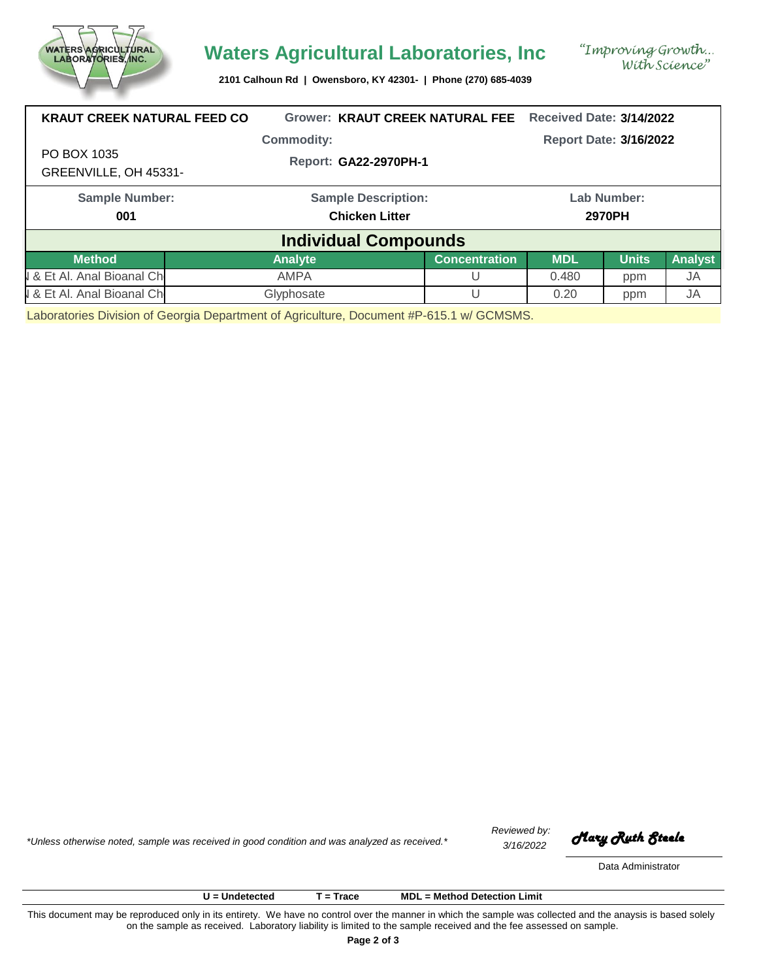

## **Waters Agricultural Laboratories, Inc**

**2101 Calhoun Rd | Owensboro, KY 42301- | Phone (270) 685-4039**

| <b>KRAUT CREEK NATURAL FEED CO</b>   | <b>Grower: KRAUT CREEK NATURAL FEE</b> | <b>Received Date: 3/14/2022</b> |             |              |           |
|--------------------------------------|----------------------------------------|---------------------------------|-------------|--------------|-----------|
|                                      | <b>Commodity:</b>                      | <b>Report Date: 3/16/2022</b>   |             |              |           |
| PO BOX 1035<br>GREENVILLE, OH 45331- | Report: GA22-2970PH-1                  |                                 |             |              |           |
| <b>Sample Number:</b>                | <b>Sample Description:</b>             |                                 | Lab Number: |              |           |
| 001                                  | <b>Chicken Litter</b>                  | 2970PH                          |             |              |           |
|                                      | <b>Individual Compounds</b>            |                                 |             |              |           |
| <b>Method</b>                        | <b>Analyte</b>                         | <b>Concentration</b>            | <b>MDL</b>  | <b>Units</b> | Analyst   |
| & Et Al. Anal Bioanal Ch             | <b>AMPA</b>                            |                                 | 0.480       | ppm          | <b>JA</b> |
| & Et Al. Anal Bioanal Ch             | Glyphosate                             |                                 | 0.20        | ppm          | <b>JA</b> |

Laboratories Division of Georgia Department of Agriculture, Document #P-615.1 w/ GCMSMS.

*3/16/2022 \*Unless otherwise noted, sample was received in good condition and was analyzed as received.\* Mary Ruth Steele*

*Reviewed by:*

Data Administrator

**U = Undetected T = Trace MDL = Method Detection Limit**

This document may be reproduced only in its entirety. We have no control over the manner in which the sample was collected and the anaysis is based solely on the sample as received. Laboratory liability is limited to the sample received and the fee assessed on sample.